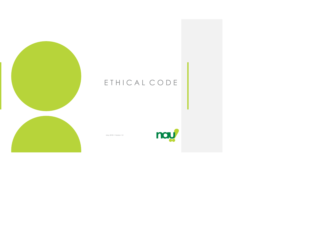

# E T H I C A L C O D E

nay

May 2018 • Version 1.0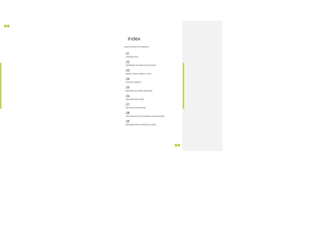### Index

MESSAGE FROM THE PRESIDENT

01 INTRODUCTION

02 ADDRESSEES AND AREA OF APPLICATION

 $.06$ RELATIONS WITH CLIENTS

03 MISSION, VISION, GUIDING VALUES

04 CODE OF CONDUCT

05 RELATIONS WITH WORK ASSOCIATES

07 RELATIONS WITH SUPPLIERS

08 RELATIONS WITH THE COMMUNITY AND INSTITUTIONS

09

IMPLEMENTATION OF THE ETHICAL CODE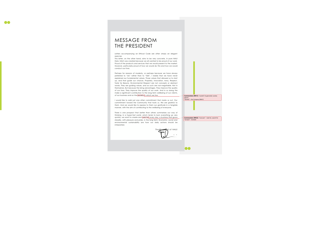### MESSAGE FROM THE PRESIDENT

Letters accompanying an Ethical Code are often simply an elegant exercise.

Perhaps for reasons of modesty, or perhaps because we have always preferred to "do" rather than to "talk", I realise that we have never explained our fundamental values. Those values that allowed us to start up, and that guide our choices. Propriety, Innovation, Irony, Respect, Taste for Beauty, Environmental Respect are not concepts or abstract words. They are guiding values, and as such are non-negotiable. Not in themselves. But because the bring advantages. They improve the quality of our lives. They improve the quality of our work. And in so doing the make a significant contribution to the long-term wellbeing of our clients, of our business and on the society in which we live.

This letter, on the other hand, aims to be very concrete, in pure NAU! Style. NAU! was created because we all wanted to be proud of our work. Proud of the products and services that we would present to the market. However, particularly proud of how we would do this and how we would conduct our lives.

I would like to add just one other commitment that marks us out. Our commitment toward the Community that hosts us. We are grateful to them. And we would like to express to them our gratitude in a tangible manner, with the aim of contributing to the wellbeing of everyone.

There is one prospect that better than others summarises our way of thinking. In a hyper-fast world, which tends to burn everything up very quickly, we want to create and look for, every day, a business that grows steadily, with pleasure and pride, in the long term. Economic, social and environmental sustainability are how our daily actions should be interpreted.



**Commentato [WU1]:** "società" (in generale): society

oppure "Società" – the Company (NAU!)

**OO** 

 $\bullet\bullet$ 

**Commentato [WU2]:** "ricercare" – look for, search for "ricreare" - recreate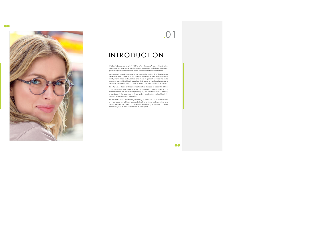

## INTRODUCTION

NAU S.p.A. (hereunder simply "NAU!" and/or "Company") is an outstanding firm in the Italian eyewear sector, one that makes, produces and distributes prescription glasses, sunglasses and accessories for the national and international markets.

An approach based on ethics in entrepreneurial activity is of fundamental importance for a company to run smoothly and maintain credibility towards its clients, shareholders and suppliers, and, more in general, towards the entire economic context in which it operates. NAU! plans to transform its energising know-how and appreciation for ethical values into a competitive advantage.

The NAU S.p.A. Board of Directors has therefore decided to adopt this Ethical Code (hereunder also "Code"), which aims to confirm and set down in one single document the principles of propriety, loyalty, integrity, and transparency of conduct, of the operating method and of conducting relationships, both internally and as regards third parties.

The aim of the Code is not simply to identify and prevent conduct that is illicit, or in any case not ethically correct, but rather to focus on the positive and correct actions to carry out, therefore establishing a culture of social responsibility and of collaboration with its employees.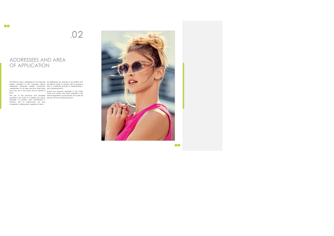## ADDRESSEES AND AREA OF APPLICATION

The Ethical Code is addressed to the following All Addressees are required to be familiar with parties: members of the corporate offices, the Ethical Code, to comply with its provisions<br>employees, temporary workers, consultants, and to contribute actively to disseminating it collaborators of all types and any other party and complying with it.<br>that may act in the name and on behalf of should any provision NAU!.

The aim of the provisions and principles specified in this Code is to explain the values,

principles of conduct and commitment in<br>relations with its interlocutors, be they<br>competitors,collaborators,suppliers.or.clients.

Should any provision specified in the Code

come into conflict with those specified in the internal regulations or procedures, the Code will prevail over any of these provisions.

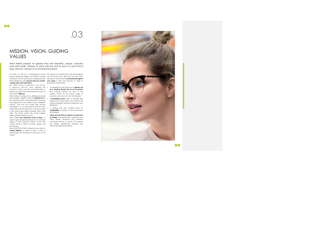### $\bullet\bullet$

# .03

### MISSION, VISION, GUIDING VALUES

NAU! Italian passion for glasses that are beautiful, unique, colourful and well made. Glasses to wear with joy and to buy in a way that is easy and fun. Always at a revolutionary price.

a Medical Device that performs the • an experience that gives life to **glasses not**  function of vision, but also, and particularly, a design accessory that characterises the face of the wearer. **With joy!**

For NAU!, its role as a contemporary brand Thispassion for beautiful and well-made glasses<br>means expressing design and fashion through was the reason why, right from the start, NAU! its products and its sales points, distinguising the decided to sell the brand **exclusively through its**  NAU! experience with **services that are smooth-own shops** in Italy and abroad, in order to **running, easy and meticulous.** Per NAU!, a pair of glasses is not simply guarantee continuously:

NAU! Makes its products by utilising advanced technologies, together with the **artisanal art** of • a **revolutionary price**, able to combine high the eyewear sector, a typically Italian art mode that originated in the middle of the nineteenth century, and that has made Italy famous worldwide. It is no coincidence that the NAU! Head Office and its production unit are located in the area where Italian eyewear took its first steps. The place where the second largest Italian eyewear district is found.

NAU! makes **new collections every 15 days,** in order to give people the pleasure of a constant supply of new products, always in line with current trends in terms of colour, design and technology. More than 70% of NAU! collections are made in

**Limited Editions,** in order to add a value of individuality and exclusivity to the face of the wearer.

**as a medical device but as an accessory**  that uniquely defines the face of the wearer, thanks to the broad range of products and colours to try in full freedom;

- quality and a correct price, also thanks to the vertical integration between production and distribution;
- a working style with constant focus on **sustainability** in relation to the Environment and People;
- **client services that are always on hand free of charge:** eye examination, assistance and
- minor repairs, technical and aesthetic consulting services to ensure that glasses are always aesthetically pleasing and technically high-performance.

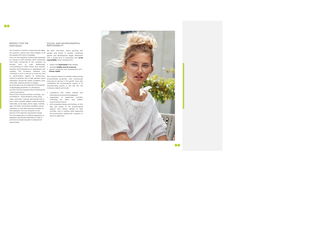### RESPECT FOR THE INDIVIDUAL

the people with whom it engages.

### SOCIAL AND ENVIRONMENTAL **RESPONSIBILITY**

or disparaging treatment; no disciplinary Company objectives include: sanction may be imposed without following the correct procedures.

The Company commits to respecting the rights, For NAU! innovation means growing with the physical, cultural and moral integrity of all people and thanks to people, combining me people with whom it engages. growth and development target attainment<br>Focus on the Individual is particularly expressed with a strong level of awareness and **social** with a strong level of awareness and **social** 

- 
- 
- 

by valuing its staff members (both employees **responsibility,** which translates into: and those connected to the company by another form of work relationship), • respect the **environment** while working concentrating on client needs and requests, • promote **healthy eyes for everyone**  propriety and transparency in negotiations with propriety and transparency in negotiations with • growth, protection and development of its<br>suppliers. The Company therefore acts **human capital** constantly in such a way as to avoid any form of discrimination against its interlocutors, The Company directs its activities while pursuing internal or external, due to age, gender, sexual environmental protection and continuously orientation, private life, health conditions, race, improving its services in this specific area, also nationality, political opinions or religion No employee may be subjected to intimidation manufacturing activity. In line with this, the

None of the Company policies, including – but international environmental legislation; not limited to – those related to hiring, firing, • organisation of production activities, salary, promotion, training, discriminate due to race, colour, gender, religion, political opinions, nationality, social origin, ethnic origin, invalidity, • staff awareness-raising and training, so that age, civil status, procreation possibility, sexual orientation or any other personal condition of the employee. The only exception to the above is if the selection requirement entails from the application of national regulations or legislation specifically interpreted in order to promote increased equality in employment opportunities.

considering the environmental impact of its

- compliance with current national and
- minimising the direct and indirect environmental impact;
- they are aware of the environmental aspects and impact related to their activities, and to working while respecting the environment, helping the company to reach its objectives.

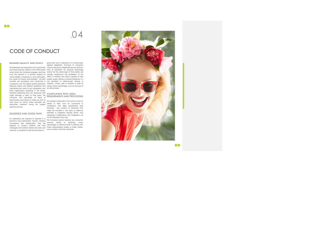## CODE OF CONDUCT

All Addressees are required to act in good faith collusive behaviour, illegitimate favours and any and respecting the interests of the third parties form of solicitation for personal advantage which whom the Company engages, and they and/or for the advantage of third parties are must also behave in a manner inspired by strongly condemned and prohibited. To this moral integrity, transparency, and, particularly, effect, in relations with clients, suppliers or third the values of honesty and propriety. All NAU! parties, public officials or private individuals, it is activities are developed and conducted in not permitted to offer/accept, directly or compliance with the highest quality standards, indirectly, money, gifts or benefits in order to following logical and efficient guidelines and obtain undue advantages, such as the issue of maintaining the value of fair competition with an official deed. other organisations operating in the sector, therefore abstaining from any behaviour that COMPLIANCE WITH LEGAL might damage a client or third party. The Company also repudiates all forms of REQUIREMENTS AND PROVISIONS discrimination and refuses to utilise any form of work done by minors. These principles are particularly important during the supplier

BUSINESS QUALITY AND ETHICS good faith and in adherence to contractuallyagreed obligations. Practices of corruption

selection process.

All Addressees are required to operate in a proactive and participatory manner, fostering cooperation and collaboration. They are required to conduct relations with their colleagues and external interlocutors fairly and correctly, in compliance with the principles of

DILIGENCE AND GOOD FAITH specified in Legislative Decree 231/01 and All activities conducted in the name of and on behalf of NAU! must be conducted in compliance with legal requirements and provisions: any conduct or behaviour that might be included in the types of offences subsequent modifications and integrations will not be tolerated in any way.

> The Company openly opposes any corruptive practice aimed at obtaining undue advantages, in reference both to relations with Public Administration bodies or Public Parties, and in relation to Private Individuals.

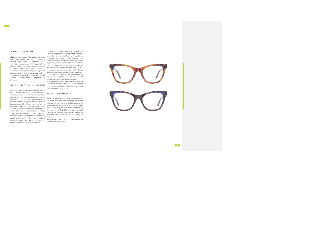### CONFLICTS OF INTEREST

avoid any situation that might contrast a personal interest with that of the company, or that might compromise their impartiality or objectivity. Any time that a situation of conflict of interest might arise, even indirect or potential, addressees are obliged to report this situation promptly to the Supervisory Body, so that the seriousness can be assessed and the potential consequences mitigated or eliminated.

It is not permitted to offer or receive any forms of gift or benefit that may be interpreted as PRIVACY PROTECTION exceeding normal commercial and courteous practice or that may be interpreted as an instrument for acquiring favourable treatment in the execution of working activities. Free gifts of a high economic value, in cash or stocks, are not permitted. In particular, there is no tolerance for any form of corruptive behaviour with regard to public officials, executives or employees working for the Public Administration, public authorities or institutions, in any form or manner. The provisions regulating this issue in the various national legislations must be strictly adhered to. Entertainment expenses and gifts to public

Addressees are required to abstain from and and also to the provisions and regulations officials, if permitted, must comply with the Company's general policy regulating expenses, governing the public bodies involved. The provisions referred to above cannot be eluded by resorting to third parties. Gifts are understood also to include benefits (such as, for example, the offer of holiday package deals, participation in events or promises of employment). Should there be any doubt regarding the possibility of accepting or offering a gift, the value of which is not purely symbolic, the employee must immediately notify her/his line manager.

favourable treatment that cannot be ascribed<br>PRESENTS, FREE GIFTS & BENEFITS to a normal courteous relationship, must notify Any Addressee who might receive gifts or to a normal courteous relationship, must notify her/his supervisor or manager.

Privacy is protected by respecting the legallyspecified provisions, and adopting adequate methods for the treatment and conservation of information of which the Company becomes privy. Excluding the hypotheses specified by the law, it is forbidden to communicate /disseminate personal data without having first obtained the permission of the party in question.

Investigations into personal preferences or opinions are not allowed.

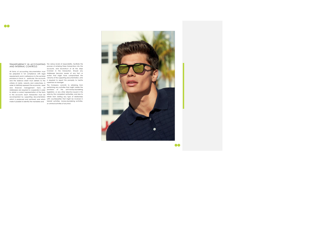### TRANSPARENCY IN ACCOUNTING the various levels of responsibility, facilitate the AND INTERNAL CONTROLS

be prepared in full compliance with legal requirements and in adherence to the sectorial provisions in force: in particular, the accounts and the balance sheet must adhere to the criteria of clarity, veracity and correctness, in order to faithfully represent the economic, asset

All forms of accounting documentation must involved in the transaction. Should any process of entering these transactions into the accounts, and reconstruct of all the steps Addressee become aware of any fact or action that might have compromised the veracity of the supporting documentation, s/he is required to report this promptly to her/his supervisor or manager.

and financial management facts. All performing any activities that might violate the Addressees are required to cooperate in order provisions of the anti-money-laundering to obtain a correct representation of the facts legislation, or any other directive issued in this in the accounts: each transaction must be area by the competent authorities, and also to accompanied by supporting documentation refrain from starting any type of relationship which is produced and archived, and which with counterparties that might be involved in make it possible to identify the mandates and terrorist activities, money-laundering activities, The Company commits to refraining from or criminal activities of any kind.

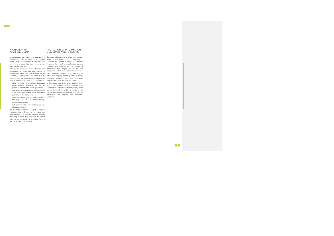### PROTECTION OF COMPANY ASSETS

diligence in order to protect the company assets, using the instruments entrusted to them using them improperly.

- 
- 
- send email messages that are offensive or updated. that might offend a person and/or damage the company image;
- surf internet sites with indecorous and offensive contents.

All employees are required to operate with Company information of any kind (commercial, correctly and responsibly, and refraining from forbidden to reveal to unauthorised persons With specific reference to the utilisation of IT information that might put at risk the scrupulously adopt the specifications of the The Company believes that protecting its company security policies, in order to avoid intellectual property (brands, patents, formulas, compromising the protection functions of the IT computer programs, etc.), with any legal financial, technological, etc.) constitutes an asset that NAU! Intends to protect. It is therefore (internal and external to the Company)

instruments, all employees are required to company's technical and commercial assets. systems. More specifically, it is not permitted to: means available, is an absolute priority.

The Company reserves the right to impede misrepresented utilisation of its assets and infrastructures, by utilising control systems, remaining in force the obligation to comply with the current legislative provisions (Law on Privacy, Workers' Statute, etc.).

### PROTECTION OF INFORMATION AND INTELLECTUAL PROPERTY

• utilise the instruments available (programs, In the same way, information received from e-mail, internet, telephone, fax, etc.) for third parties is treated by the Company in full purposes unrelated to work requirements; respect of the confidentiality and privacy of the • download programs or install software that parties involved. In order to achieve this, is not authorised, or that differs from those specific procedures and policies for protecting provided by the Company; information are applied and constantly

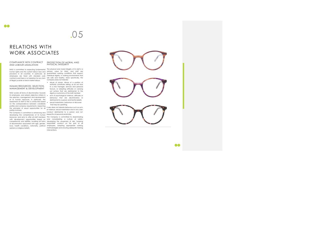## RELATIONS WITH WORK ASSOCIATES

COMPLIANCE WITH CONTRACT AND LABOUR LEGISLATION

human rights and the current labour laws and provisions in all countries. In particular, all employees are hired with standard work contracts and there is no toleration for any form of illegal, juvenile or black market labour.

### HUMAN RESOURCES: SELECTION, MANAGEMENT & DEVELOPMENT

NAU! avoids all forms of discrimination towards its employees, and adopts objective criteria in • acts of psychological violence, attitudes or the selection, management and development behaviour that are discriminatory or of its human resources. In particular, the assessment of staff to hire is conducted based detrimental to a person and her/his beliefs; on the correspondence between candidate that may be upsetting. profiles and company requirements, respecting the principles of equal opportunities for all parties involved.

NAU! is committed to respecting fundamental The physical and moral integrity of its staff is a primary value for NAU!, and staff are guaranteed working conditions that respect individual dignity, in working environments that are safe and healthy. More specifically, the Company does not tolerate:

developing the competencies of its human respectful of personal sensitivities. with development opportunities based on competences and abilities, avoiding all forms race, health conditions, nationality, political employees, adopting appropriate working opinions or religious beliefs.

### PROTECTION OF MORAL AND PHYSICAL INTEGRITY

The Company is committed to enhancing and conduct detrimental to a person and not It also does not tolerate behaviour such as acts of violence, sexual molestation and in any case

resources, and aims to offer all staff members The Company is committed to disseminating of discrimination associated with age, gender, responsible conduct on the part of all and consolidating a culture of safety, developing the awareness of risks, fostering methodologies and ensuring adequate training interventions.



- abuse of power. Abuse of a position of authority constitutes asking, as an act due to a line manager, services and personal favours, or adopting attitudes or carrying out actions that are detrimental to the dignity or autonomy of the staff member;
	-
- sexual molestation, behaviour or discourse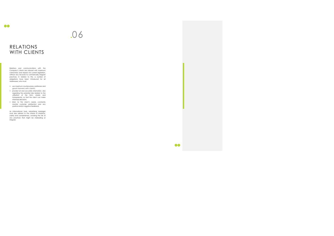### $\bullet\bullet$

# .06

## RELATIONS WITH CLIENTS

Relations and communications with the Company's clients are imbued with maximum correctness and respect for current legislation, without any recourse to commercially irregular practices. In relation to this, a number of obligations have been introduced for all Addressees, who must:

- use maximum courteousness, politeness and good manners with clients;
- provide full and accurate information, also regarding the potential risks related to the utilisation of the item, clearly and transparently, so that the client can make informed decisions;
- listen to the client's needs, constantly monitor customer satisfaction and any positive and/or negative feedback;

As informational tools, advertising messages must also adhere to the criteria of simplicity, clarity and completeness, avoiding the risk of any practices that might be misleading or irregular.

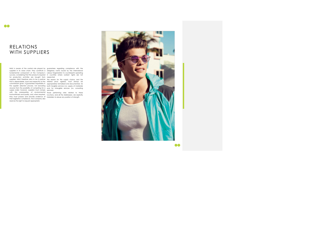## RELATIONS WITH SUPPLIERS

NAU! is aware of the central role played by guarantees regarding compliance with the<br>suppliers in its value chain: they constitute a obligatory norms issued by the International fundamental component of the Company's Labour Organization to counterparts operating success, considering that the products required in countries where workers' rights are not for production activities are bought from respected.

supply order; however, suppliers must comply with the prerequisites of environmental trustworthiness and quality, and, when required, they must possess and provide evidence of their legislative compliance. The Company also reserves the right to request appropriate

suppliers. NAU! therefore aims to be a partner The reason for the supply choice, and the that is dependable, loyal and respectful of the related price agreed, must always be commitment given. It guarantees impartiality in appropriately formalised and documented, for<br>the supplier selection process, not excluding both tangible services (i.e. supply of materials) anyone from the possibility of competing for a cand for intangible services (i.e. consulting services).

Those performing roles related to these functions, and all the Addressees, are explicitly forbidden to abuse any position of strength.

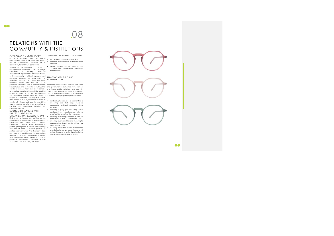## .08 RELATIONS WITH THE COMMUNITY & INSTITUTIONS

ENVIRONMENT AND TERRITORY In all its activities, NAU! has always • purpose linked to the Company's mission; demonstrated passion, expertise and respect  $\cdot$  clear and documentable destination of the environment, conscious of its resources;

processes, NAU! takes care to eliminate all that Addressees who conduct relations with State is superfluous, and to recycle everything that and governmental authorities, with national<br>can be re-used. All Addressees are responsible and foreign public institutions, and also with for ensuring operational traceability, decision other parties representing collective interests, making transparency, and for complying with must be previously identified and appropriately<br>the prohibition against providing financial authorised. These people are prohibited from:

responsibility toward future generations. Through its awareness-raising policies for • specific authorisation by those in the employees and all its interlocutors, it is strongly committed to fostering sustainable development: it participates actively in the life of the community in which it operates, and promotes messages of sustainability by subsidising activities that share the same principles, values and objectives. In its support to associations, political parties or their<br>representatives that might lead to situations of sconducting themselves in a manner that is<br>conflict of interest, and also the prohibition substance and that arisest ther against making donations to, sponsoring or

carrying out promotional initiatives for

corruptive purposes. ECONOMIC RELATIONS WITH PARTIES, TRADE UNION

ORGANISATIONS & ASSOCIATIONS • promising or making payments in cash for NAU! does not finance any political parties, either in Italy or abroad, their representatives or candidates, and neither does it sponsor • allocating public subsidies and financing to congresses or festivals aimed exclusively at political propaganda. It refrains from exerting have been granted; any form of direct or indirect pressure on political representatives. The Company does not make any contributions to organisations with which it might spot a conflict of interest (e.g. trade unions, environmental or consumer protection associations). However, it may cooperate, even financially, with these

organisations, if the following conditions all exist:

- 
- 
- Company who are appointed to manage these relations.

## RELATIONS WITH THE PUBLIC ADMINISTRATION

- misleading and that might therefore compromise the objective evaluation of the the body;
- promising or giving gifts exceeding normal practices of commercial courtesy, with the aim of obtaining preferential treatment;
- purposes other than institutional purposes; purposes other than those for which they
- executing any action, trickery or deception aimed at obtaining any advantage or profit for the Company or for third parties, to the detriment of the Public Administration.

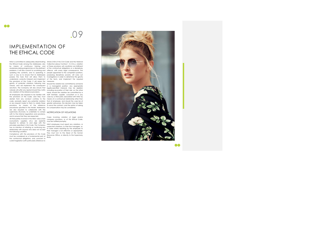## IMPLEMENTATION OF THE ETHICAL CODE

NAU! is committed to adequately disseminating Article 2104 of the Civil Code and the National the Ethical Code among the Addressees, also Collective Labour Contract - C.C.N.L.), violation by means of continuous training and of these provisions will constitute non-fulfilment awareness-raising programmes on the pertinent of the contractual obligations or a disciplinary problems. It will also commit to scrutinising and offence, with every legal consequence. The updating the contents, and to operating in people appointed to the competent positions,<br>such a way as to ensure that its Addressees possessing disciplinary powers, will carry out possess the tools that will allow them to investigations in order to determine the gravity understand, correctly interpret and implement of the facts, and implement the required

procedures specified in the Model. Addressees for compensation may be considered. are also required to collaborate with the supervisory structures, to undertake to comply NOTIFICATION OF VIOLATIONS with to the internal regulations and provisions, and to ensure that they are respected.

the provisions of the Code. It will assess the measures.

All third parties involved in the NAU! value chain (consultants, suppliers, etc.) are explicitly required to adhere to and align with the principles specified in this Code. The Company has no intention of initiating or continuing any relationship with anyone who does not accept the following condition.

gravity of potential violations following due Should the violation be committed by someone checks, and will implement the consequent in a managerial position, any appropriate sanctions. The Company will also ensure that legally-specified measure may be applied, nobody will suffer any reprisal should they notify including revocation of their role: on the other any violation of the reference provisions. hand, should the violation be committed by a All employees are required to be familiar with staff member, supplier, consultant or in any the provisions of the Code, and they must case by a third party associated with NAU! by abstain from any conduct contrary to the means of a contractual relationship other than code, promptly report any potential violation that of employee, and should the case be of<br>or any request made to them to violate these greater seriousness, the decision may be taken provisions, by means of the reference to annul the contract, and the option of asking

Compliance with the provisions of this Code must be considered as a fundamental part of the contractual obligations, and, pursuant to current legislation (with particularly reference to

Cases involving violation of legal and/or company provisions, or of this Ethical Code, must be notified promptly.

NAU! employees must report any violations, or suspected violations, to their line managers, or, in cases where reporting by the employee to their manager is not effective or appropriate, they must turn to the Head of the Human Resources Office, or directly to the Supervisory Body.